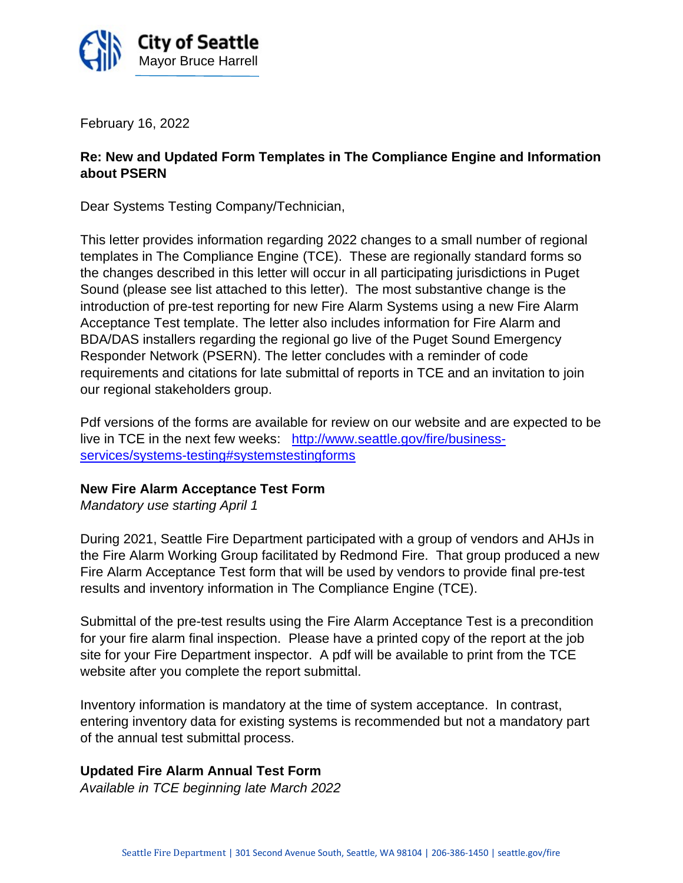

February 16, 2022

# **Re: New and Updated Form Templates in The Compliance Engine and Information about PSERN**

Dear Systems Testing Company/Technician,

This letter provides information regarding 2022 changes to a small number of regional templates in The Compliance Engine (TCE). These are regionally standard forms so the changes described in this letter will occur in all participating jurisdictions in Puget Sound (please see list attached to this letter). The most substantive change is the introduction of pre-test reporting for new Fire Alarm Systems using a new Fire Alarm Acceptance Test template. The letter also includes information for Fire Alarm and BDA/DAS installers regarding the regional go live of the Puget Sound Emergency Responder Network (PSERN). The letter concludes with a reminder of code requirements and citations for late submittal of reports in TCE and an invitation to join our regional stakeholders group.

Pdf versions of the forms are available for review on our website and are expected to be live in TCE in the next few weeks: [http://www.seattle.gov/fire/business](http://www.seattle.gov/fire/business-services/systems-testing#systemstestingforms)[services/systems-testing#systemstestingforms](http://www.seattle.gov/fire/business-services/systems-testing#systemstestingforms)

## **New Fire Alarm Acceptance Test Form**

*Mandatory use starting April 1*

During 2021, Seattle Fire Department participated with a group of vendors and AHJs in the Fire Alarm Working Group facilitated by Redmond Fire. That group produced a new Fire Alarm Acceptance Test form that will be used by vendors to provide final pre-test results and inventory information in The Compliance Engine (TCE).

Submittal of the pre-test results using the Fire Alarm Acceptance Test is a precondition for your fire alarm final inspection. Please have a printed copy of the report at the job site for your Fire Department inspector. A pdf will be available to print from the TCE website after you complete the report submittal.

Inventory information is mandatory at the time of system acceptance. In contrast, entering inventory data for existing systems is recommended but not a mandatory part of the annual test submittal process.

## **Updated Fire Alarm Annual Test Form**

*Available in TCE beginning late March 2022*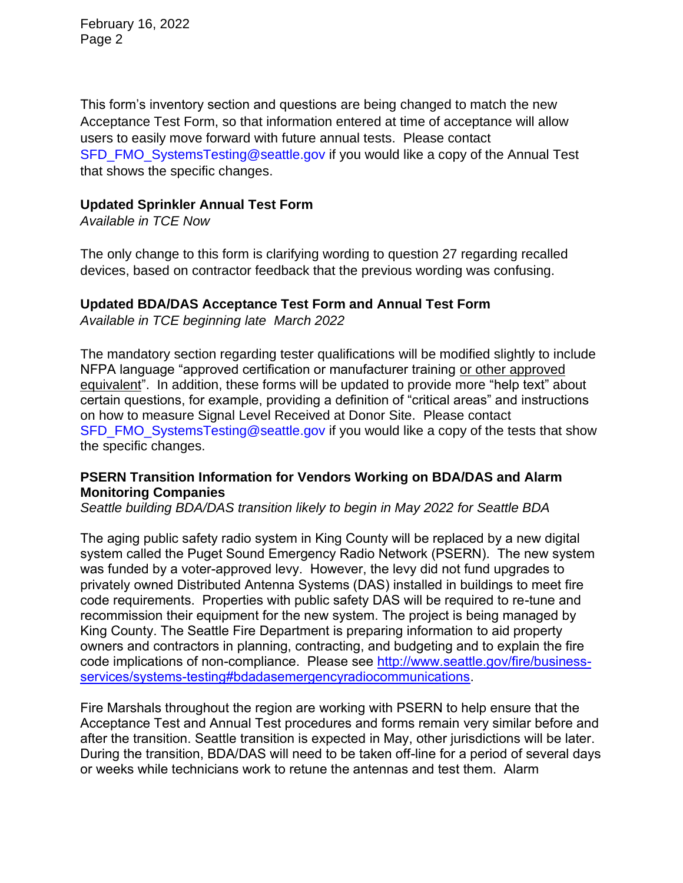February 16, 2022 Page 2

This form's inventory section and questions are being changed to match the new Acceptance Test Form, so that information entered at time of acceptance will allow users to easily move forward with future annual tests. Please contact [SFD\\_FMO\\_SystemsTesting@seattle.gov](mailto:SFD_FMO_SystemsTesting@seattle.gov) if you would like a copy of the Annual Test that shows the specific changes.

### **Updated Sprinkler Annual Test Form**

*Available in TCE Now*

The only change to this form is clarifying wording to question 27 regarding recalled devices, based on contractor feedback that the previous wording was confusing.

## **Updated BDA/DAS Acceptance Test Form and Annual Test Form**

*Available in TCE beginning late March 2022*

The mandatory section regarding tester qualifications will be modified slightly to include NFPA language "approved certification or manufacturer training or other approved equivalent". In addition, these forms will be updated to provide more "help text" about certain questions, for example, providing a definition of "critical areas" and instructions on how to measure Signal Level Received at Donor Site. Please contact [SFD\\_FMO\\_SystemsTesting@seattle.gov](mailto:SFD_FMO_SystemsTesting@seattle.gov) if you would like a copy of the tests that show the specific changes.

## **PSERN Transition Information for Vendors Working on BDA/DAS and Alarm Monitoring Companies**

*Seattle building BDA/DAS transition likely to begin in May 2022 for Seattle BDA*

The aging public safety radio system in King County will be replaced by a new digital system called the Puget Sound Emergency Radio Network (PSERN). The new system was funded by a voter-approved levy. However, the levy did not fund upgrades to privately owned Distributed Antenna Systems (DAS) installed in buildings to meet fire code requirements. Properties with public safety DAS will be required to re-tune and recommission their equipment for the new system. The project is being managed by King County. The Seattle Fire Department is preparing information to aid property owners and contractors in planning, contracting, and budgeting and to explain the fire code implications of non-compliance. Please see [http://www.seattle.gov/fire/business](http://www.seattle.gov/fire/business-services/systems-testing#bdadasemergencyradiocommunications)[services/systems-testing#bdadasemergencyradiocommunications.](http://www.seattle.gov/fire/business-services/systems-testing#bdadasemergencyradiocommunications)

Fire Marshals throughout the region are working with PSERN to help ensure that the Acceptance Test and Annual Test procedures and forms remain very similar before and after the transition. Seattle transition is expected in May, other jurisdictions will be later. During the transition, BDA/DAS will need to be taken off-line for a period of several days or weeks while technicians work to retune the antennas and test them. Alarm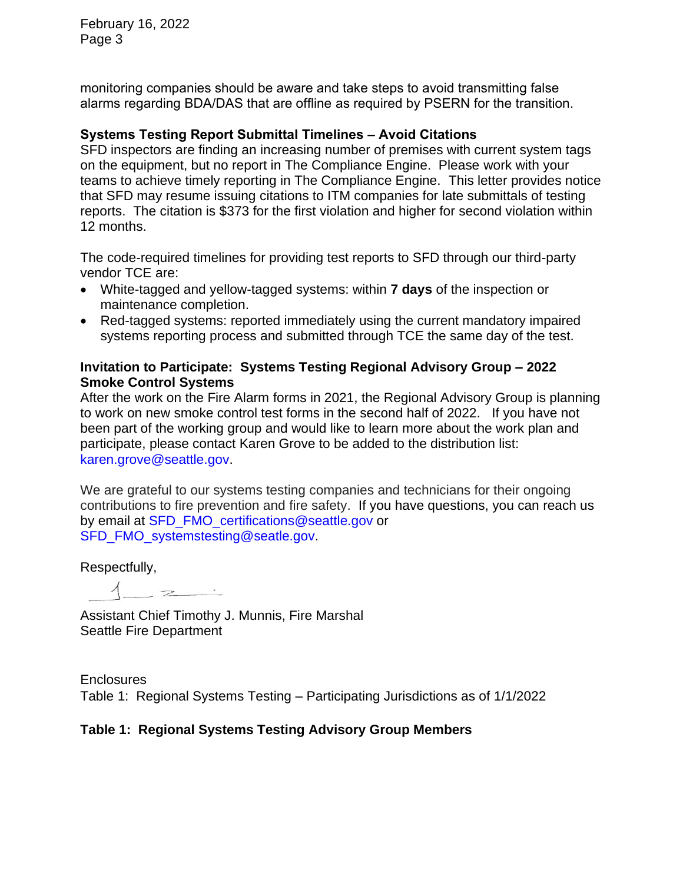February 16, 2022 Page 3

monitoring companies should be aware and take steps to avoid transmitting false alarms regarding BDA/DAS that are offline as required by PSERN for the transition.

## **Systems Testing Report Submittal Timelines – Avoid Citations**

SFD inspectors are finding an increasing number of premises with current system tags on the equipment, but no report in The Compliance Engine. Please work with your teams to achieve timely reporting in The Compliance Engine. This letter provides notice that SFD may resume issuing citations to ITM companies for late submittals of testing reports. The citation is \$373 for the first violation and higher for second violation within 12 months.

The code-required timelines for providing test reports to SFD through our third-party vendor TCE are:

- White-tagged and yellow-tagged systems: within **7 days** of the inspection or maintenance completion.
- Red-tagged systems: reported immediately using the current mandatory impaired systems reporting process and submitted through TCE the same day of the test.

## **Invitation to Participate: Systems Testing Regional Advisory Group – 2022 Smoke Control Systems**

After the work on the Fire Alarm forms in 2021, the Regional Advisory Group is planning to work on new smoke control test forms in the second half of 2022. If you have not been part of the working group and would like to learn more about the work plan and participate, please contact Karen Grove to be added to the distribution list: [karen.grove@seattle.gov.](mailto:karen.grove@seattle.gov)

We are grateful to our systems testing companies and technicians for their ongoing contributions to fire prevention and fire safety. If you have questions, you can reach us by email at [SFD\\_FMO\\_certifications@seattle.gov](mailto:SFD_FMO_certifications@seattle.gov) or [SFD\\_FMO\\_systemstesting@seatle.gov.](mailto:SFD_FMO_systemstesting@seatle.gov)

Respectfully,

 $\overline{z}$   $\overline{z}$ 

Assistant Chief Timothy J. Munnis, Fire Marshal Seattle Fire Department

**Enclosures** Table 1: Regional Systems Testing – Participating Jurisdictions as of 1/1/2022

## **Table 1: Regional Systems Testing Advisory Group Members**